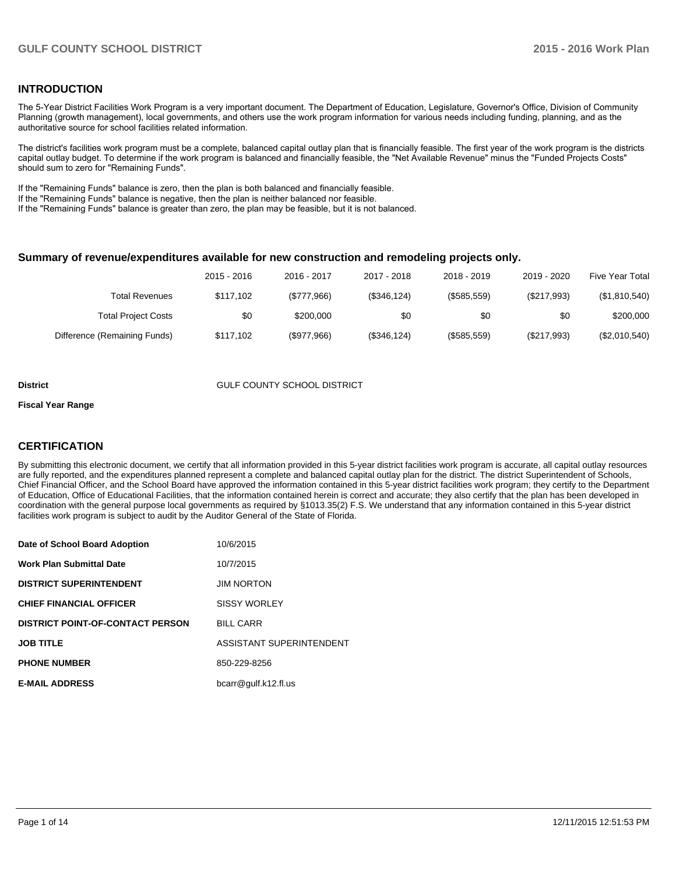### **INTRODUCTION**

The 5-Year District Facilities Work Program is a very important document. The Department of Education, Legislature, Governor's Office, Division of Community Planning (growth management), local governments, and others use the work program information for various needs including funding, planning, and as the authoritative source for school facilities related information.

The district's facilities work program must be a complete, balanced capital outlay plan that is financially feasible. The first year of the work program is the districts capital outlay budget. To determine if the work program is balanced and financially feasible, the "Net Available Revenue" minus the "Funded Projects Costs" should sum to zero for "Remaining Funds".

If the "Remaining Funds" balance is zero, then the plan is both balanced and financially feasible.

If the "Remaining Funds" balance is negative, then the plan is neither balanced nor feasible.

If the "Remaining Funds" balance is greater than zero, the plan may be feasible, but it is not balanced.

#### **Summary of revenue/expenditures available for new construction and remodeling projects only.**

| <b>Five Year Total</b> | 2019 - 2020 | 2018 - 2019 | 2017 - 2018  | 2016 - 2017 | 2015 - 2016 |                              |
|------------------------|-------------|-------------|--------------|-------------|-------------|------------------------------|
| (\$1,810,540)          | (\$217,993) | (\$585,559) | (\$346, 124) | (\$777,966) | \$117.102   | <b>Total Revenues</b>        |
| \$200,000              | \$0         | \$0         | \$0          | \$200,000   | \$0         | <b>Total Project Costs</b>   |
| (\$2,010,540)          | (\$217,993) | (\$585,559) | (\$346, 124) | (\$977,966) | \$117.102   | Difference (Remaining Funds) |

#### **District COUNTY SCHOOL DISTRICT**

#### **Fiscal Year Range**

### **CERTIFICATION**

By submitting this electronic document, we certify that all information provided in this 5-year district facilities work program is accurate, all capital outlay resources are fully reported, and the expenditures planned represent a complete and balanced capital outlay plan for the district. The district Superintendent of Schools, Chief Financial Officer, and the School Board have approved the information contained in this 5-year district facilities work program; they certify to the Department of Education, Office of Educational Facilities, that the information contained herein is correct and accurate; they also certify that the plan has been developed in coordination with the general purpose local governments as required by §1013.35(2) F.S. We understand that any information contained in this 5-year district facilities work program is subject to audit by the Auditor General of the State of Florida.

| Date of School Board Adoption           | 10/6/2015                |
|-----------------------------------------|--------------------------|
| <b>Work Plan Submittal Date</b>         | 10/7/2015                |
| <b>DISTRICT SUPERINTENDENT</b>          | <b>JIM NORTON</b>        |
| <b>CHIEF FINANCIAL OFFICER</b>          | <b>SISSY WORLEY</b>      |
| <b>DISTRICT POINT-OF-CONTACT PERSON</b> | <b>BILL CARR</b>         |
| <b>JOB TITLE</b>                        | ASSISTANT SUPERINTENDENT |
| <b>PHONE NUMBER</b>                     | 850-229-8256             |
| <b>E-MAIL ADDRESS</b>                   | bcarr@gulf.k12.fl.us     |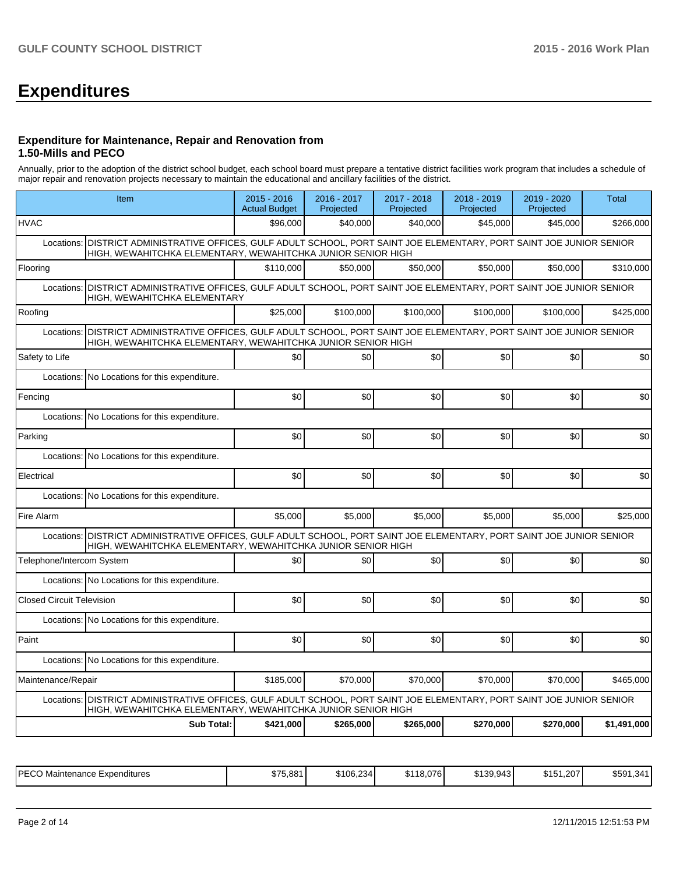# **Expenditures**

#### **Expenditure for Maintenance, Repair and Renovation from 1.50-Mills and PECO**

Annually, prior to the adoption of the district school budget, each school board must prepare a tentative district facilities work program that includes a schedule of major repair and renovation projects necessary to maintain the educational and ancillary facilities of the district.

| Item                                                                                                                                                                                      | $2015 - 2016$<br><b>Actual Budget</b> | 2016 - 2017<br>Projected | 2017 - 2018<br>Projected | 2018 - 2019<br>Projected | 2019 - 2020<br>Projected | <b>Total</b> |
|-------------------------------------------------------------------------------------------------------------------------------------------------------------------------------------------|---------------------------------------|--------------------------|--------------------------|--------------------------|--------------------------|--------------|
| <b>HVAC</b>                                                                                                                                                                               | \$96,000                              | \$40,000                 | \$40,000                 | \$45,000                 | \$45,000                 | \$266,000    |
| DISTRICT ADMINISTRATIVE OFFICES, GULF ADULT SCHOOL, PORT SAINT JOE ELEMENTARY, PORT SAINT JOE JUNIOR SENIOR<br>Locations:<br>HIGH, WEWAHITCHKA ELEMENTARY, WEWAHITCHKA JUNIOR SENIOR HIGH |                                       |                          |                          |                          |                          |              |
| Flooring                                                                                                                                                                                  | \$110,000                             | \$50,000                 | \$50,000                 | \$50,000                 | \$50,000                 | \$310,000    |
| Locations: DISTRICT ADMINISTRATIVE OFFICES, GULF ADULT SCHOOL, PORT SAINT JOE ELEMENTARY, PORT SAINT JOE JUNIOR SENIOR<br>HIGH, WEWAHITCHKA ELEMENTARY                                    |                                       |                          |                          |                          |                          |              |
| Roofing                                                                                                                                                                                   | \$25,000                              | \$100.000                | \$100.000                | \$100,000                | \$100,000                | \$425.000    |
| DISTRICT ADMINISTRATIVE OFFICES, GULF ADULT SCHOOL, PORT SAINT JOE ELEMENTARY, PORT SAINT JOE JUNIOR SENIOR<br>Locations:<br>HIGH, WEWAHITCHKA ELEMENTARY, WEWAHITCHKA JUNIOR SENIOR HIGH |                                       |                          |                          |                          |                          |              |
| Safety to Life                                                                                                                                                                            | \$0                                   | \$0                      | \$0                      | \$0                      | \$0                      | \$0          |
| No Locations for this expenditure.<br>Locations:                                                                                                                                          |                                       |                          |                          |                          |                          |              |
| Fencing                                                                                                                                                                                   | \$0                                   | \$0                      | \$0                      | \$0                      | \$0                      | \$0          |
| Locations: No Locations for this expenditure.                                                                                                                                             |                                       |                          |                          |                          |                          |              |
| Parking                                                                                                                                                                                   | \$0                                   | \$0                      | \$0                      | \$0                      | \$0                      | \$0          |
| Locations: No Locations for this expenditure.                                                                                                                                             |                                       |                          |                          |                          |                          |              |
| Electrical                                                                                                                                                                                | \$0                                   | \$0                      | \$0                      | \$0                      | \$0                      | \$0          |
| Locations: No Locations for this expenditure.                                                                                                                                             |                                       |                          |                          |                          |                          |              |
| Fire Alarm                                                                                                                                                                                | \$5,000                               | \$5,000                  | \$5,000                  | \$5,000                  | \$5,000                  | \$25,000     |
| Locations: DISTRICT ADMINISTRATIVE OFFICES, GULF ADULT SCHOOL, PORT SAINT JOE ELEMENTARY, PORT SAINT JOE JUNIOR SENIOR<br>HIGH, WEWAHITCHKA ELEMENTARY, WEWAHITCHKA JUNIOR SENIOR HIGH    |                                       |                          |                          |                          |                          |              |
| Telephone/Intercom System                                                                                                                                                                 | \$0                                   | \$0                      | \$0                      | \$0                      | \$0                      | \$0          |
| Locations: No Locations for this expenditure.                                                                                                                                             |                                       |                          |                          |                          |                          |              |
| <b>Closed Circuit Television</b>                                                                                                                                                          | \$0                                   | \$0                      | \$0                      | \$0                      | \$0                      | \$0          |
| Locations: No Locations for this expenditure.                                                                                                                                             |                                       |                          |                          |                          |                          |              |
| Paint                                                                                                                                                                                     | \$0                                   | \$0                      | \$0                      | \$0                      | \$0                      | \$0          |
| Locations: No Locations for this expenditure.                                                                                                                                             |                                       |                          |                          |                          |                          |              |
| Maintenance/Repair                                                                                                                                                                        | \$185,000                             | \$70,000                 | \$70,000                 | \$70,000                 | \$70,000                 | \$465,000    |
| Locations: DISTRICT ADMINISTRATIVE OFFICES, GULF ADULT SCHOOL, PORT SAINT JOE ELEMENTARY, PORT SAINT JOE JUNIOR SENIOR<br>HIGH, WEWAHITCHKA ELEMENTARY, WEWAHITCHKA JUNIOR SENIOR HIGH    |                                       |                          |                          |                          |                          |              |
| <b>Sub Total:</b>                                                                                                                                                                         | \$421.000                             | \$265.000                | \$265.000                | \$270,000                | \$270,000                | \$1,491,000  |

| IPFCO<br><b>Expenditures</b><br>Maintenance<br>└─ | \$75.881 | 300.234<br>ა106,234 - | 18.076<br><b>0140</b><br>ЪI | 0.1000010<br>\$139.9431 | \$151.207 | \$591<br>∹∢⊿<br>. - |
|---------------------------------------------------|----------|-----------------------|-----------------------------|-------------------------|-----------|---------------------|
|---------------------------------------------------|----------|-----------------------|-----------------------------|-------------------------|-----------|---------------------|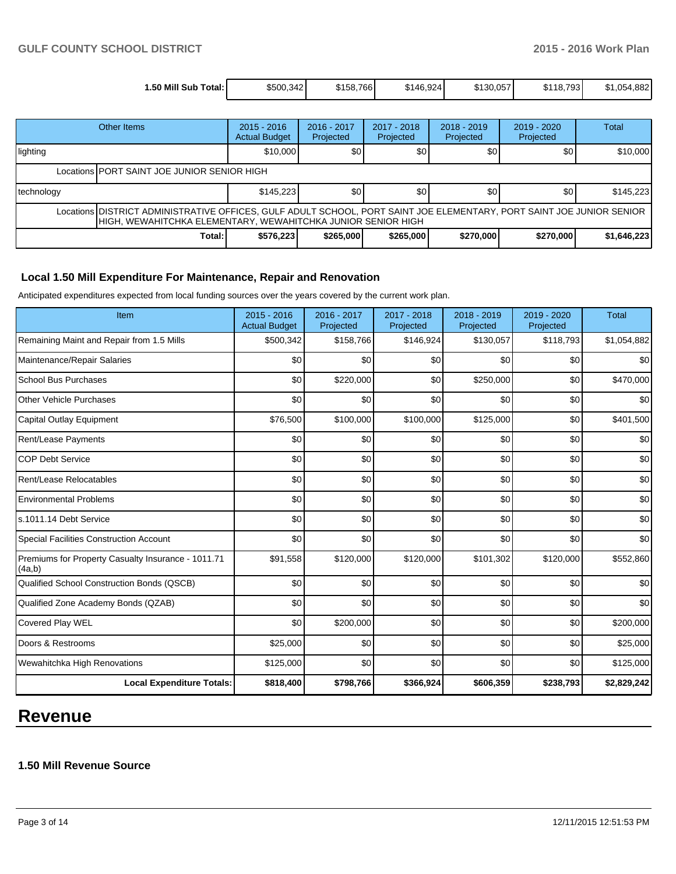| 1.50 Mill Sub<br>Total: I | \$500.342 | \$158.766 | \$146.924 | \$130.057 | 18.793<br>σм.<br>ا⊺دت | .882<br>\$1,054 |
|---------------------------|-----------|-----------|-----------|-----------|-----------------------|-----------------|

| Other Items                                                                                                                                                                           |        | $2015 - 2016$<br><b>Actual Budget</b> | 2016 - 2017<br>Projected | $2017 - 2018$<br>Projected | $2018 - 2019$<br>Projected | $2019 - 2020$<br>Projected | <b>Total</b> |  |
|---------------------------------------------------------------------------------------------------------------------------------------------------------------------------------------|--------|---------------------------------------|--------------------------|----------------------------|----------------------------|----------------------------|--------------|--|
| lighting                                                                                                                                                                              |        | \$10,000                              | \$0                      | \$0                        | \$0                        | \$0                        | \$10,000     |  |
| Locations PORT SAINT JOE JUNIOR SENIOR HIGH                                                                                                                                           |        |                                       |                          |                            |                            |                            |              |  |
| technology                                                                                                                                                                            |        | \$145,223                             | \$0                      | \$0                        | \$0                        | \$0                        | \$145,223    |  |
| Locations DISTRICT ADMINISTRATIVE OFFICES, GULF ADULT SCHOOL, PORT SAINT JOE ELEMENTARY, PORT SAINT JOE JUNIOR SENIOR<br>HIGH, WEWAHITCHKA ELEMENTARY, WEWAHITCHKA JUNIOR SENIOR HIGH |        |                                       |                          |                            |                            |                            |              |  |
|                                                                                                                                                                                       | Total: | \$576,223                             | \$265,000                | \$265,000                  | \$270,000                  | \$270,000                  | \$1,646,223  |  |

### **Local 1.50 Mill Expenditure For Maintenance, Repair and Renovation**

Anticipated expenditures expected from local funding sources over the years covered by the current work plan.

| Item                                                         | 2015 - 2016<br><b>Actual Budget</b> | 2016 - 2017<br>Projected | 2017 - 2018<br>Projected | 2018 - 2019<br>Projected | 2019 - 2020<br>Projected | <b>Total</b> |
|--------------------------------------------------------------|-------------------------------------|--------------------------|--------------------------|--------------------------|--------------------------|--------------|
| Remaining Maint and Repair from 1.5 Mills                    | \$500,342                           | \$158,766                | \$146,924                | \$130,057                | \$118,793                | \$1,054,882  |
| Maintenance/Repair Salaries                                  | \$0                                 | \$0                      | \$0                      | \$0                      | \$0                      | \$0          |
| <b>School Bus Purchases</b>                                  | \$0                                 | \$220,000                | \$0                      | \$250,000                | \$0                      | \$470,000    |
| <b>Other Vehicle Purchases</b>                               | \$0                                 | \$0                      | \$0                      | \$0                      | \$0                      | \$0          |
| Capital Outlay Equipment                                     | \$76,500                            | \$100,000                | \$100,000                | \$125,000                | \$0                      | \$401,500    |
| Rent/Lease Payments                                          | \$0                                 | \$0                      | \$0                      | \$0                      | \$0                      | \$0          |
| <b>COP Debt Service</b>                                      | \$0                                 | \$0                      | \$0                      | \$0                      | \$0                      | \$0          |
| Rent/Lease Relocatables                                      | \$0                                 | \$0                      | \$0                      | \$0                      | \$0                      | \$0          |
| <b>Environmental Problems</b>                                | \$0                                 | \$0                      | \$0                      | \$0                      | \$0                      | \$0          |
| s.1011.14 Debt Service                                       | \$0                                 | \$0                      | \$0                      | \$0                      | \$0                      | \$0          |
| <b>Special Facilities Construction Account</b>               | \$0                                 | \$0                      | \$0                      | \$0                      | \$0                      | \$0          |
| Premiums for Property Casualty Insurance - 1011.71<br>(4a,b) | \$91,558                            | \$120,000                | \$120,000                | \$101,302                | \$120,000                | \$552,860    |
| Qualified School Construction Bonds (QSCB)                   | \$0                                 | \$0                      | \$0                      | \$0                      | \$0                      | \$0          |
| Qualified Zone Academy Bonds (QZAB)                          | \$0                                 | \$0                      | \$0                      | \$0                      | \$0                      | \$0          |
| <b>Covered Play WEL</b>                                      | \$0                                 | \$200,000                | \$0                      | \$0                      | \$0                      | \$200,000    |
| Doors & Restrooms                                            | \$25,000                            | \$0                      | \$0                      | \$0                      | \$0                      | \$25,000     |
| Wewahitchka High Renovations                                 | \$125,000                           | \$0                      | \$0                      | \$0                      | \$0                      | \$125,000    |
| <b>Local Expenditure Totals:</b>                             | \$818,400                           | \$798,766                | \$366,924                | \$606,359                | \$238,793                | \$2,829,242  |

# **Revenue**

# **1.50 Mill Revenue Source**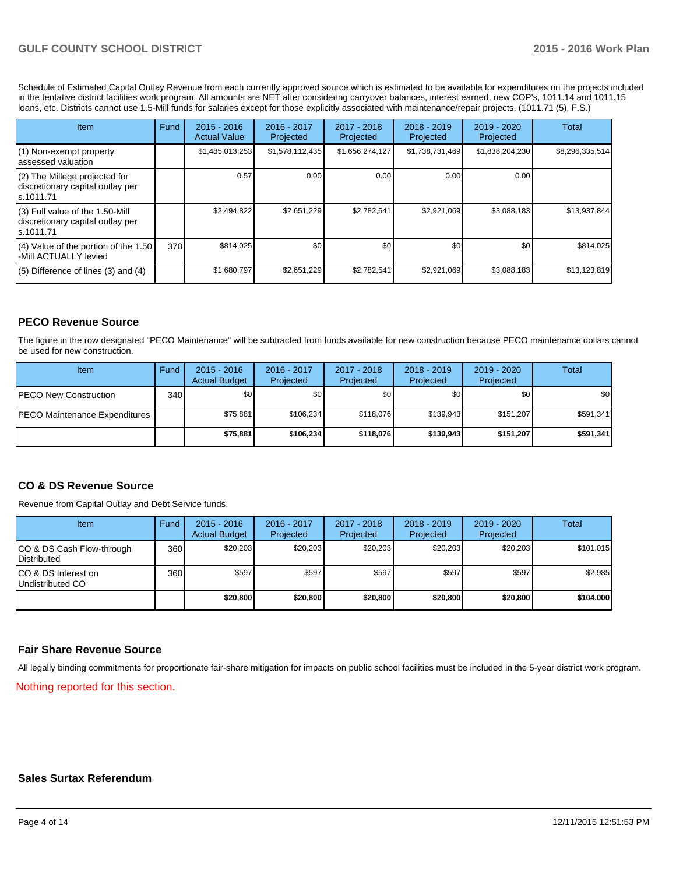Schedule of Estimated Capital Outlay Revenue from each currently approved source which is estimated to be available for expenditures on the projects included in the tentative district facilities work program. All amounts are NET after considering carryover balances, interest earned, new COP's, 1011.14 and 1011.15 loans, etc. Districts cannot use 1.5-Mill funds for salaries except for those explicitly associated with maintenance/repair projects. (1011.71 (5), F.S.)

| Item                                                                                | Fund | $2015 - 2016$<br><b>Actual Value</b> | $2016 - 2017$<br>Projected | $2017 - 2018$<br>Projected | $2018 - 2019$<br>Projected | $2019 - 2020$<br>Projected | Total           |
|-------------------------------------------------------------------------------------|------|--------------------------------------|----------------------------|----------------------------|----------------------------|----------------------------|-----------------|
| (1) Non-exempt property<br>lassessed valuation                                      |      | \$1,485,013,253                      | \$1,578,112,435            | \$1,656,274,127            | \$1,738,731,469            | \$1,838,204,230            | \$8,296,335,514 |
| (2) The Millege projected for<br>discretionary capital outlay per<br>ls.1011.71     |      | 0.57                                 | 0.00                       | 0.00                       | 0.00                       | 0.00                       |                 |
| $(3)$ Full value of the 1.50-Mill<br>discretionary capital outlay per<br>ls.1011.71 |      | \$2,494,822                          | \$2.651.229                | \$2,782,541                | \$2.921.069                | \$3,088,183                | \$13,937,844    |
| $(4)$ Value of the portion of the 1.50<br>-Mill ACTUALLY levied                     | 370  | \$814,025                            | \$0                        | \$0                        | \$0                        | \$0                        | \$814,025       |
| $(5)$ Difference of lines $(3)$ and $(4)$                                           |      | \$1,680,797                          | \$2,651,229                | \$2,782,541                | \$2,921,069                | \$3,088,183                | \$13,123,819    |

## **PECO Revenue Source**

The figure in the row designated "PECO Maintenance" will be subtracted from funds available for new construction because PECO maintenance dollars cannot be used for new construction.

| Item                                 | Fund | $2015 - 2016$<br><b>Actual Budget</b> | 2016 - 2017<br>Projected | 2017 - 2018<br>Projected | $2018 - 2019$<br>Projected | $2019 - 2020$<br>Projected | Total            |
|--------------------------------------|------|---------------------------------------|--------------------------|--------------------------|----------------------------|----------------------------|------------------|
| <b>IPECO New Construction</b>        | 340  | \$0                                   | \$0                      | \$0                      | \$0 <sub>1</sub>           | \$0                        | \$0 <sub>1</sub> |
| <b>PECO Maintenance Expenditures</b> |      | \$75.881                              | \$106,234                | \$118.076                | \$139.943                  | \$151,207                  | \$591,341        |
|                                      |      | \$75.881                              | \$106.234                | \$118.076                | \$139,943                  | \$151.207                  | \$591,341        |

#### **CO & DS Revenue Source**

Revenue from Capital Outlay and Debt Service funds.

| Item                                               | Fund | $2015 - 2016$<br><b>Actual Budget</b> | 2016 - 2017<br>Projected | 2017 - 2018<br>Projected | $2018 - 2019$<br>Projected | 2019 - 2020<br>Projected | Total     |
|----------------------------------------------------|------|---------------------------------------|--------------------------|--------------------------|----------------------------|--------------------------|-----------|
| ICO & DS Cash Flow-through<br><b>I</b> Distributed | 360  | \$20.203                              | \$20,203                 | \$20,203                 | \$20,203                   | \$20,203                 | \$101,015 |
| ICO & DS Interest on<br>Undistributed CO           | 360  | \$597                                 | \$597                    | \$597                    | \$597                      | \$597                    | \$2,985   |
|                                                    |      | \$20,800                              | \$20,800                 | \$20,800                 | \$20,800                   | \$20,800                 | \$104,000 |

#### **Fair Share Revenue Source**

All legally binding commitments for proportionate fair-share mitigation for impacts on public school facilities must be included in the 5-year district work program.

Nothing reported for this section.

#### **Sales Surtax Referendum**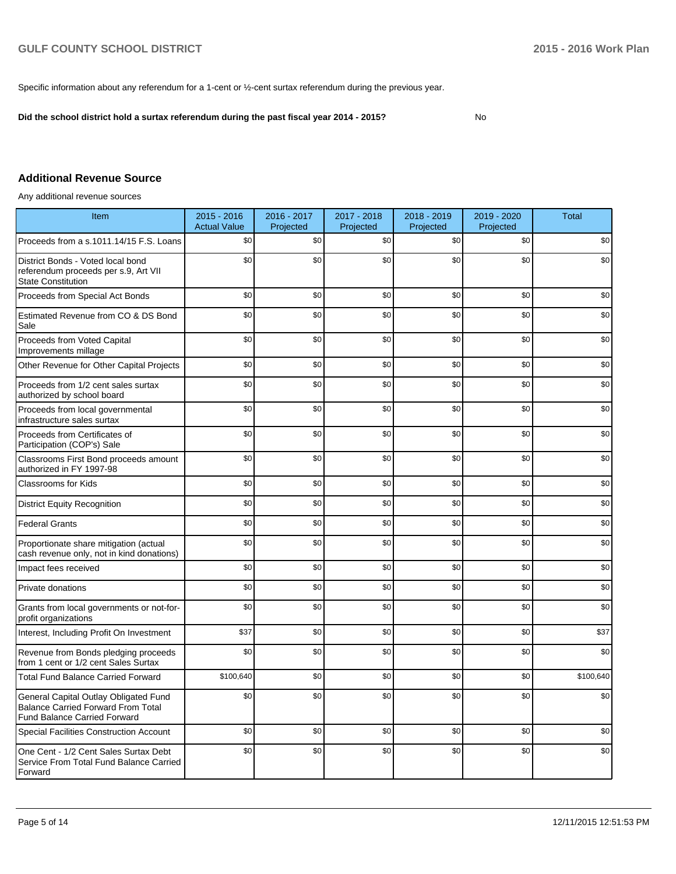Specific information about any referendum for a 1-cent or ½-cent surtax referendum during the previous year.

**Did the school district hold a surtax referendum during the past fiscal year 2014 - 2015?**

No

# **Additional Revenue Source**

Any additional revenue sources

| Item                                                                                                                      | $2015 - 2016$<br><b>Actual Value</b> | 2016 - 2017<br>Projected | 2017 - 2018<br>Projected | 2018 - 2019<br>Projected | 2019 - 2020<br>Projected | <b>Total</b> |
|---------------------------------------------------------------------------------------------------------------------------|--------------------------------------|--------------------------|--------------------------|--------------------------|--------------------------|--------------|
| Proceeds from a s.1011.14/15 F.S. Loans                                                                                   | \$0                                  | \$0                      | \$0                      | \$0                      | \$0                      | \$0          |
| District Bonds - Voted local bond<br>referendum proceeds per s.9, Art VII<br><b>State Constitution</b>                    | \$0                                  | \$0                      | \$0                      | \$0                      | \$0                      | \$0          |
| Proceeds from Special Act Bonds                                                                                           | \$0                                  | \$0                      | \$0                      | \$0                      | \$0                      | \$0          |
| Estimated Revenue from CO & DS Bond<br>Sale                                                                               | \$0                                  | \$0                      | \$0                      | \$0                      | \$0                      | \$0          |
| Proceeds from Voted Capital<br>Improvements millage                                                                       | \$0                                  | \$0                      | \$0                      | \$0                      | \$0                      | \$0          |
| Other Revenue for Other Capital Projects                                                                                  | \$0                                  | \$0                      | \$0                      | \$0                      | \$0                      | \$0          |
| Proceeds from 1/2 cent sales surtax<br>authorized by school board                                                         | \$0                                  | \$0                      | \$0                      | \$0                      | \$0                      | \$0          |
| Proceeds from local governmental<br>infrastructure sales surtax                                                           | \$0                                  | \$0                      | \$0                      | \$0                      | \$0                      | \$0          |
| Proceeds from Certificates of<br>Participation (COP's) Sale                                                               | \$0                                  | \$0                      | \$0                      | \$0                      | \$0                      | \$0          |
| Classrooms First Bond proceeds amount<br>authorized in FY 1997-98                                                         | \$0                                  | \$0                      | \$0                      | \$0                      | \$0                      | \$0          |
| Classrooms for Kids                                                                                                       | \$0                                  | \$0                      | \$0                      | \$0                      | \$0                      | \$0          |
| <b>District Equity Recognition</b>                                                                                        | \$0                                  | \$0                      | \$0                      | \$0                      | \$0                      | \$0          |
| <b>Federal Grants</b>                                                                                                     | \$0                                  | \$0                      | \$0                      | \$0                      | \$0                      | \$0          |
| Proportionate share mitigation (actual<br>cash revenue only, not in kind donations)                                       | \$0                                  | \$0                      | \$0                      | \$0                      | \$0                      | \$0          |
| Impact fees received                                                                                                      | \$0                                  | \$0                      | \$0                      | \$0                      | \$0                      | \$0          |
| Private donations                                                                                                         | \$0                                  | \$0                      | \$0                      | \$0                      | \$0                      | \$0          |
| Grants from local governments or not-for-<br>profit organizations                                                         | \$0                                  | \$0                      | \$0                      | \$0                      | \$0                      | \$0          |
| Interest, Including Profit On Investment                                                                                  | \$37                                 | \$0                      | \$0                      | \$0                      | \$0                      | \$37         |
| Revenue from Bonds pledging proceeds<br>from 1 cent or 1/2 cent Sales Surtax                                              | \$0                                  | \$0                      | \$0                      | \$0                      | \$0                      | \$0          |
| <b>Total Fund Balance Carried Forward</b>                                                                                 | \$100,640                            | \$0                      | \$0                      | \$0                      | \$0                      | \$100,640    |
| General Capital Outlay Obligated Fund<br><b>Balance Carried Forward From Total</b><br><b>Fund Balance Carried Forward</b> | \$0                                  | \$0                      | \$0                      | \$0                      | \$0                      | \$0          |
| Special Facilities Construction Account                                                                                   | \$0                                  | \$0                      | \$0                      | \$0                      | \$0                      | \$0          |
| One Cent - 1/2 Cent Sales Surtax Debt<br>Service From Total Fund Balance Carried<br>Forward                               | \$0                                  | \$0                      | \$0                      | \$0                      | \$0                      | \$0          |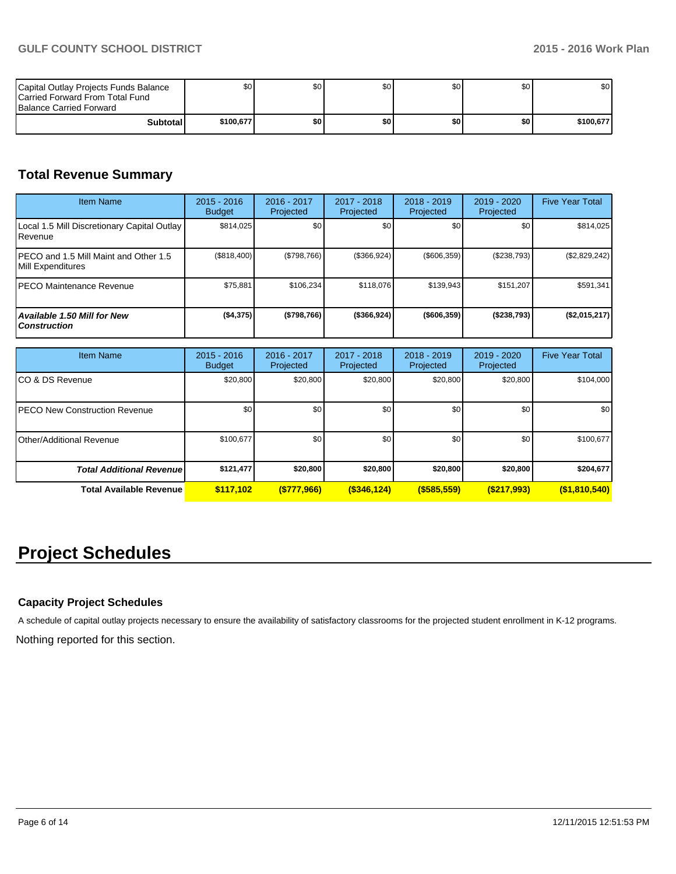| Capital Outlay Projects Funds Balance<br><b>ICarried Forward From Total Fund</b><br><b>Balance Carried Forward</b> | ا S0      | \$0 | \$0 | ا 30 | \$0 <sub>1</sub> | \$0       |
|--------------------------------------------------------------------------------------------------------------------|-----------|-----|-----|------|------------------|-----------|
| Subtotall                                                                                                          | \$100.677 | \$0 | \$0 | ا 30 | \$0              | \$100,677 |

# **Total Revenue Summary**

| <b>Item Name</b>                                           | $2015 - 2016$<br><b>Budget</b> | 2016 - 2017<br>Projected | $2017 - 2018$<br>Projected | $2018 - 2019$<br>Projected | $2019 - 2020$<br>Projected | <b>Five Year Total</b> |
|------------------------------------------------------------|--------------------------------|--------------------------|----------------------------|----------------------------|----------------------------|------------------------|
| Local 1.5 Mill Discretionary Capital Outlay<br>l Revenue   | \$814,025                      | \$0 <sub>1</sub>         | \$0                        | \$0                        | \$0                        | \$814,025              |
| PECO and 1.5 Mill Maint and Other 1.5<br>Mill Expenditures | (\$818,400)                    | (\$798,766)              | (\$366,924)                | (\$606,359)                | (\$238,793)                | (\$2,829,242)          |
| IPECO Maintenance Revenue                                  | \$75,881                       | \$106.234                | \$118.076                  | \$139,943                  | \$151.207                  | \$591,341              |
| Available 1.50 Mill for New<br><b>Construction</b>         | ( \$4,375)                     | (\$798,766)              | (\$366,924)                | $($ \$606,359)             | ( \$238,793]               | (\$2,015,217)          |

| <b>Item Name</b>                      | $2015 - 2016$<br><b>Budget</b> | 2016 - 2017<br>Projected | 2017 - 2018<br>Projected | $2018 - 2019$<br>Projected | 2019 - 2020<br>Projected | <b>Five Year Total</b> |
|---------------------------------------|--------------------------------|--------------------------|--------------------------|----------------------------|--------------------------|------------------------|
| ICO & DS Revenue                      | \$20,800                       | \$20,800                 | \$20,800                 | \$20,800                   | \$20,800                 | \$104,000              |
| <b>IPECO New Construction Revenue</b> | \$0 <sub>1</sub>               | \$0                      | \$0                      | \$0                        | \$0                      | \$0                    |
| <b>IOther/Additional Revenue</b>      | \$100,677                      | \$0                      | \$0                      | \$0                        | \$0                      | \$100,677              |
| <b>Total Additional Revenuel</b>      | \$121,477                      | \$20,800                 | \$20,800                 | \$20,800                   | \$20,800                 | \$204,677              |
| Total Available Revenue               | \$117,102                      | ( \$777, 966)            | $($ \$346,124 $)$        | $($ \$585,559)             | ( \$217,993)             | $($ \$1,810,540)       |

# **Project Schedules**

## **Capacity Project Schedules**

A schedule of capital outlay projects necessary to ensure the availability of satisfactory classrooms for the projected student enrollment in K-12 programs.

Nothing reported for this section.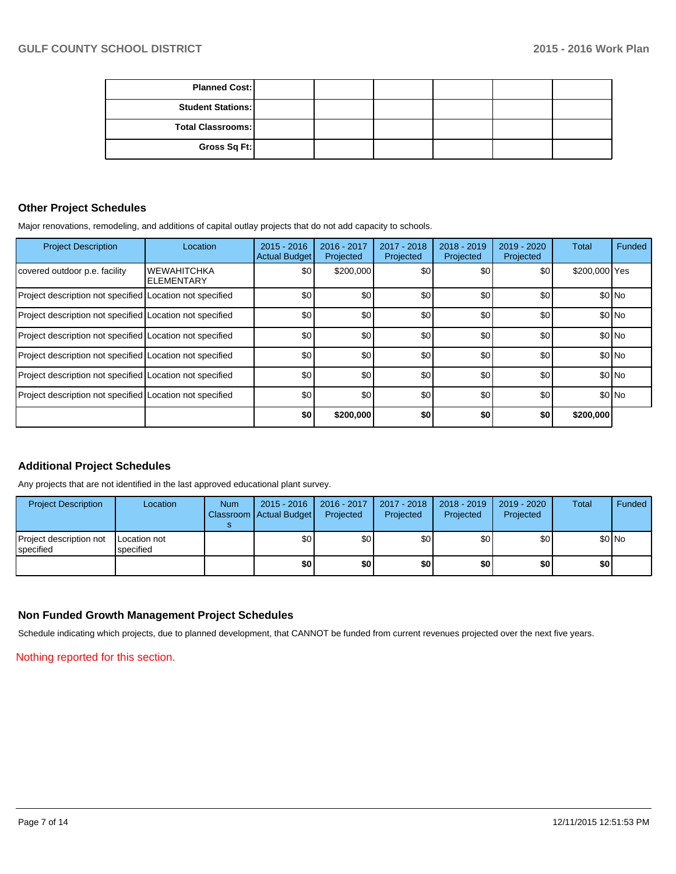| <b>Planned Cost:</b>     |  |  |  |
|--------------------------|--|--|--|
| <b>Student Stations:</b> |  |  |  |
| <b>Total Classrooms:</b> |  |  |  |
| Gross Sq Ft:             |  |  |  |

### **Other Project Schedules**

Major renovations, remodeling, and additions of capital outlay projects that do not add capacity to schools.

| <b>Project Description</b>                               | Location                                | $2015 - 2016$<br><b>Actual Budget</b> | 2016 - 2017<br>Projected | 2017 - 2018<br>Projected | 2018 - 2019<br>Projected | 2019 - 2020<br>Projected | <b>Total</b>  | Funded  |
|----------------------------------------------------------|-----------------------------------------|---------------------------------------|--------------------------|--------------------------|--------------------------|--------------------------|---------------|---------|
| covered outdoor p.e. facility                            | <b>WEWAHITCHKA</b><br><b>ELEMENTARY</b> | \$0                                   | \$200,000                | \$0                      | \$0 <sub>1</sub>         | \$0                      | \$200,000 Yes |         |
| Project description not specified Location not specified |                                         | \$0                                   | \$0                      | \$0                      | \$0                      | \$0                      |               | $$0$ No |
| Project description not specified Location not specified |                                         | \$0                                   | \$0                      | \$0                      | \$0                      | \$0                      |               | $$0$ No |
| Project description not specified Location not specified |                                         | \$0                                   | \$0                      | \$0                      | \$0                      | \$0                      |               | $$0$ No |
| Project description not specified Location not specified |                                         | \$0                                   | \$0                      | \$0                      | \$0                      | \$0                      |               | $$0$ No |
| Project description not specified Location not specified |                                         | \$0                                   | \$0                      | \$0                      | \$0                      | \$0                      |               | $$0$ No |
| Project description not specified Location not specified |                                         | \$0                                   | \$0                      | \$0                      | \$0                      | \$0                      |               | \$0 No  |
|                                                          |                                         | \$0                                   | \$200,000                | \$0                      | \$0                      | \$0                      | \$200,000     |         |

## **Additional Project Schedules**

Any projects that are not identified in the last approved educational plant survey.

| <b>Project Description</b>           | Location                         | <b>Num</b> | $2015 - 2016$<br>Classroom   Actual Budget | $2016 - 2017$<br>Projected | 2017 - 2018<br>Projected | 2018 - 2019<br>Projected | 2019 - 2020<br>Projected | Total | Funded  |
|--------------------------------------|----------------------------------|------------|--------------------------------------------|----------------------------|--------------------------|--------------------------|--------------------------|-------|---------|
| Project description not<br>specified | <b>Location not</b><br>specified |            | \$0                                        | \$٥Ι                       | \$0                      | \$0                      | \$0                      |       | $$0$ No |
|                                      |                                  |            | \$0                                        | \$OI                       | \$0                      | \$0                      | \$0                      | \$0   |         |

## **Non Funded Growth Management Project Schedules**

Schedule indicating which projects, due to planned development, that CANNOT be funded from current revenues projected over the next five years.

Nothing reported for this section.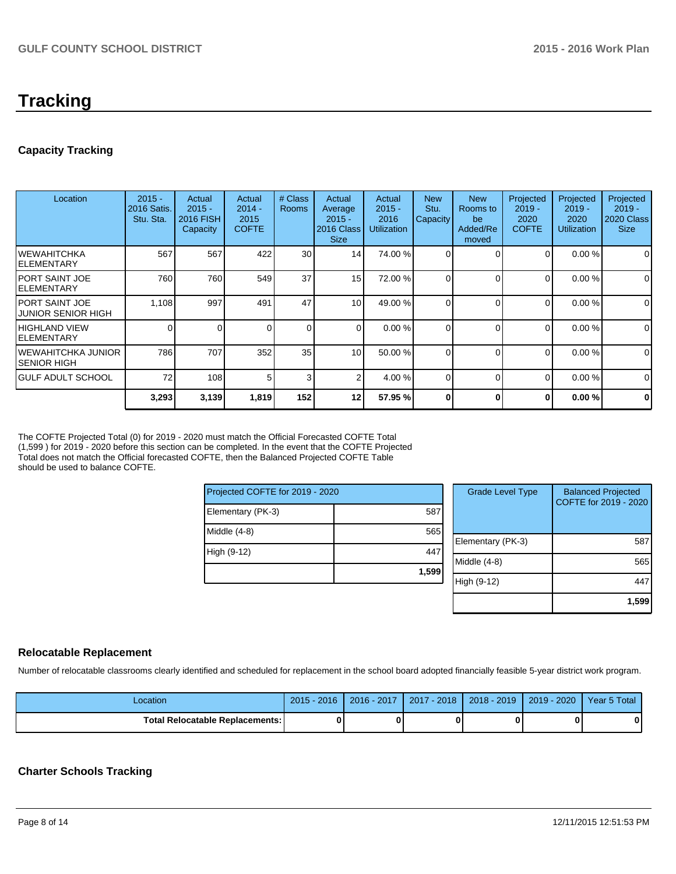# **Tracking**

# **Capacity Tracking**

| Location                                     | $2015 -$<br>2016 Satis.<br>Stu. Sta. | Actual<br>$2015 -$<br>2016 FISH<br>Capacity | Actual<br>$2014 -$<br>2015<br><b>COFTE</b> | # Class<br><b>Rooms</b> | Actual<br>Average<br>$2015 -$<br>2016 Class<br><b>Size</b> | Actual<br>$2015 -$<br>2016<br><b>Utilization</b> | <b>New</b><br>Stu.<br><b>Capacity</b> | <b>New</b><br>Rooms to<br>be<br>Added/Re<br>moved | Projected<br>$2019 -$<br>2020<br><b>COFTE</b> | Projected<br>$2019 -$<br>2020<br><b>Utilization</b> | Projected<br>$2019 -$<br>2020 Class<br><b>Size</b> |
|----------------------------------------------|--------------------------------------|---------------------------------------------|--------------------------------------------|-------------------------|------------------------------------------------------------|--------------------------------------------------|---------------------------------------|---------------------------------------------------|-----------------------------------------------|-----------------------------------------------------|----------------------------------------------------|
| IWEWAHITCHKA<br>IELEMENTARY                  | 567                                  | 567                                         | 422                                        | 30                      | 14                                                         | 74.00 %                                          | $\Omega$                              |                                                   | $\overline{0}$                                | 0.00%                                               | $\overline{0}$                                     |
| IPORT SAINT JOE<br>IELEMENTARY               | 760                                  | 760                                         | 549                                        | 37                      | 15                                                         | 72.00 %                                          | 0                                     |                                                   | $\overline{0}$                                | 0.00%                                               | $\overline{0}$                                     |
| IPORT SAINT JOE<br><b>JUNIOR SENIOR HIGH</b> | 1,108                                | 997                                         | 491                                        | 47                      | 10 <sup>1</sup>                                            | 49.00 %                                          |                                       |                                                   | $\Omega$                                      | 0.00%                                               | $\overline{0}$                                     |
| IHIGHLAND VIEW<br>lelementary                | 0                                    |                                             |                                            | $\mathbf 0$             | $\Omega$                                                   | 0.00 %                                           |                                       |                                                   | $\overline{0}$                                | 0.00 %                                              | $\overline{0}$                                     |
| IWEWAHITCHKA JUNIOR I<br>ISENIOR HIGH        | 786                                  | 707                                         | 352                                        | 35                      | 10 <sup>1</sup>                                            | 50.00 %                                          | $\Omega$                              | C                                                 | $\overline{0}$                                | 0.00%                                               | $\mathbf 0$                                        |
| IGULF ADULT SCHOOL                           | 72                                   | 108                                         | 51                                         | 3                       | 2                                                          | 4.00 %                                           | $\Omega$                              | C                                                 | $\overline{0}$                                | 0.00%                                               | $\overline{0}$                                     |
|                                              | 3,293                                | 3,139                                       | 1,819                                      | 152                     | 12                                                         | 57.95 %                                          | 0                                     | 0                                                 | $\bf{0}$                                      | 0.00%                                               | $\mathbf{0}$                                       |

The COFTE Projected Total (0) for 2019 - 2020 must match the Official Forecasted COFTE Total (1,599 ) for 2019 - 2020 before this section can be completed. In the event that the COFTE Projected Total does not match the Official forecasted COFTE, then the Balanced Projected COFTE Table should be used to balance COFTE.

| Projected COFTE for 2019 - 2020 |       |      |  |  |  |
|---------------------------------|-------|------|--|--|--|
| Elementary (PK-3)               | 587   |      |  |  |  |
| Middle (4-8)                    | 565   | Eler |  |  |  |
| High (9-12)                     | 447   | Mid  |  |  |  |
|                                 | 1,599 | lial |  |  |  |

| <b>Grade Level Type</b> | <b>Balanced Projected</b><br>COFTE for 2019 - 2020 |
|-------------------------|----------------------------------------------------|
| Elementary (PK-3)       | 587                                                |
| Middle (4-8)            | 565                                                |
| High (9-12)             | 44.                                                |
|                         | 1,599                                              |

#### **Relocatable Replacement**

Number of relocatable classrooms clearly identified and scheduled for replacement in the school board adopted financially feasible 5-year district work program.

| Location                                 | $2015 - 2016$ | 2016 - 2017 | $2017 - 2018$ | $2018 - 2019$ | 2019 - 2020 1 | Year 5 Total |
|------------------------------------------|---------------|-------------|---------------|---------------|---------------|--------------|
| <b>Total Relocatable Replacements: I</b> |               |             |               |               |               |              |

## **Charter Schools Tracking**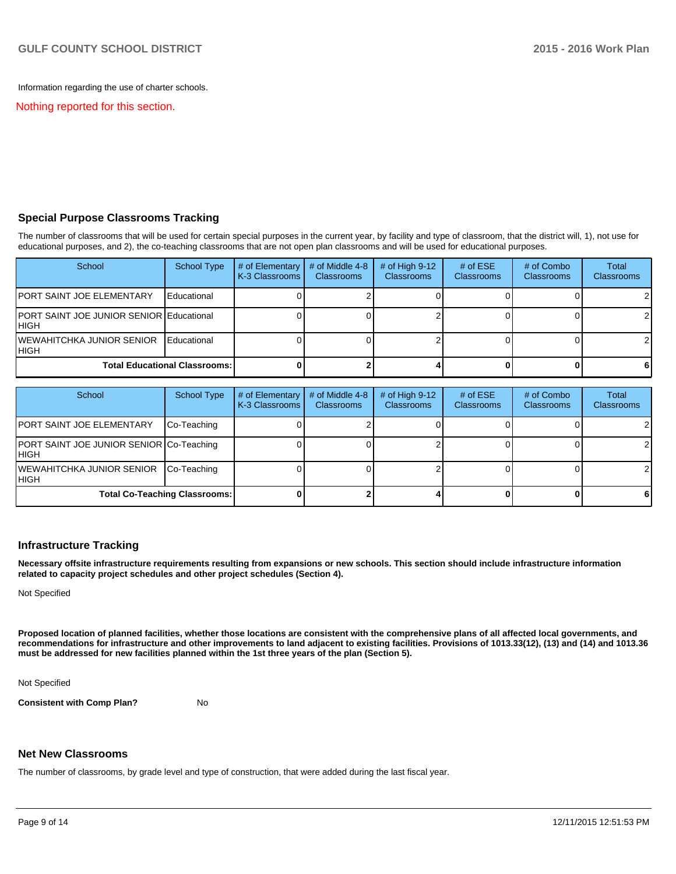Information regarding the use of charter schools.

Nothing reported for this section.

#### **Special Purpose Classrooms Tracking**

The number of classrooms that will be used for certain special purposes in the current year, by facility and type of classroom, that the district will, 1), not use for educational purposes, and 2), the co-teaching classrooms that are not open plan classrooms and will be used for educational purposes.

| School                                                    | <b>School Type</b>                   | # of Elementary<br>K-3 Classrooms | # of Middle 4-8<br><b>Classrooms</b> | # of High $9-12$<br><b>Classrooms</b> | # of $ESE$<br><b>Classrooms</b> | # of Combo<br><b>Classrooms</b> | Total<br><b>Classrooms</b> |
|-----------------------------------------------------------|--------------------------------------|-----------------------------------|--------------------------------------|---------------------------------------|---------------------------------|---------------------------------|----------------------------|
| <b>JPORT SAINT JOE ELEMENTARY</b>                         | Educational                          |                                   |                                      |                                       |                                 |                                 |                            |
| <b>IPORT SAINT JOE JUNIOR SENIOR Educational</b><br>IHIGH |                                      |                                   |                                      |                                       |                                 |                                 |                            |
| IWEWAHITCHKA JUNIOR SENIOR<br>IHIGH                       | Educational                          |                                   |                                      |                                       |                                 |                                 |                            |
|                                                           | <b>Total Educational Classrooms:</b> |                                   |                                      |                                       |                                 |                                 |                            |

| School                                            | School Type | # of Elementary<br>K-3 Classrooms | # of Middle 4-8<br><b>Classrooms</b> | $#$ of High 9-12<br><b>Classrooms</b> | # of $ESE$<br>Classrooms | # of Combo<br><b>Classrooms</b> | <b>Total</b><br><b>Classrooms</b> |
|---------------------------------------------------|-------------|-----------------------------------|--------------------------------------|---------------------------------------|--------------------------|---------------------------------|-----------------------------------|
| <b>PORT SAINT JOE ELEMENTARY</b>                  | Co-Teaching |                                   |                                      |                                       |                          |                                 | $\overline{2}$                    |
| PORT SAINT JOE JUNIOR SENIOR Co-Teaching<br>IHIGH |             |                                   |                                      |                                       |                          |                                 | $\mathcal{P}$                     |
| WEWAHITCHKA JUNIOR SENIOR<br>IHIGH                | Co-Teaching |                                   |                                      |                                       |                          |                                 |                                   |
| <b>Total Co-Teaching Classrooms:</b>              |             |                                   |                                      |                                       |                          |                                 | 6 I                               |

#### **Infrastructure Tracking**

**Necessary offsite infrastructure requirements resulting from expansions or new schools. This section should include infrastructure information related to capacity project schedules and other project schedules (Section 4).**

Not Specified

**Proposed location of planned facilities, whether those locations are consistent with the comprehensive plans of all affected local governments, and recommendations for infrastructure and other improvements to land adjacent to existing facilities. Provisions of 1013.33(12), (13) and (14) and 1013.36 must be addressed for new facilities planned within the 1st three years of the plan (Section 5).**

Not Specified

**Consistent with Comp Plan?** No

#### **Net New Classrooms**

The number of classrooms, by grade level and type of construction, that were added during the last fiscal year.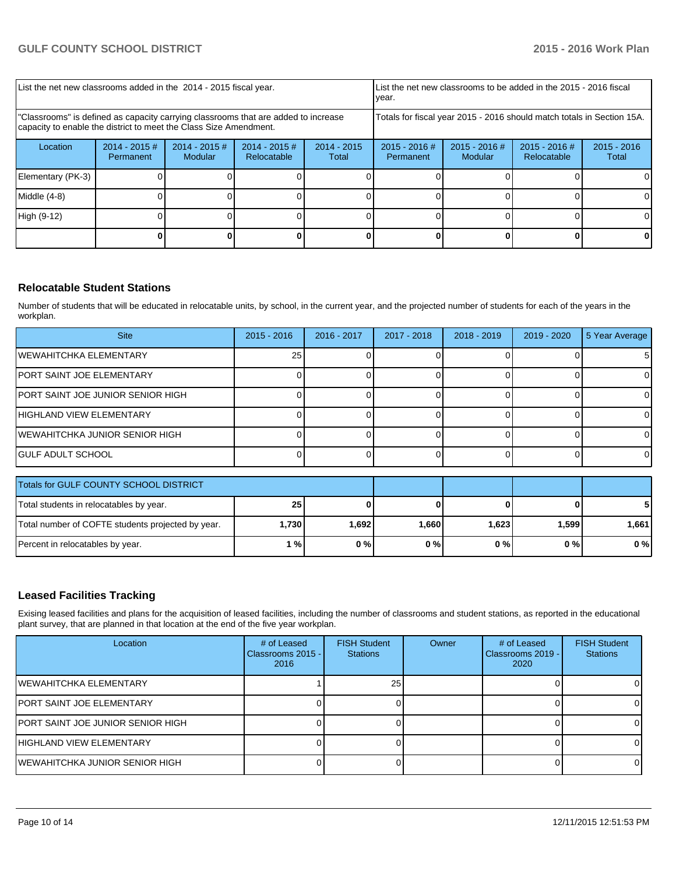| List the net new classrooms added in the 2014 - 2015 fiscal year.                                                                                       |                                                                        |                            |                                |                        | List the net new classrooms to be added in the 2015 - 2016 fiscal<br>year. |                            |                                |                        |  |
|---------------------------------------------------------------------------------------------------------------------------------------------------------|------------------------------------------------------------------------|----------------------------|--------------------------------|------------------------|----------------------------------------------------------------------------|----------------------------|--------------------------------|------------------------|--|
| "Classrooms" is defined as capacity carrying classrooms that are added to increase<br>capacity to enable the district to meet the Class Size Amendment. | Totals for fiscal year 2015 - 2016 should match totals in Section 15A. |                            |                                |                        |                                                                            |                            |                                |                        |  |
| Location                                                                                                                                                | $2014 - 2015$ #<br>Permanent                                           | $2014 - 2015$ #<br>Modular | $2014 - 2015$ #<br>Relocatable | $2014 - 2015$<br>Total | $2015 - 2016$ #<br>Permanent                                               | $2015 - 2016$ #<br>Modular | $2015 - 2016$ #<br>Relocatable | $2015 - 2016$<br>Total |  |
| Elementary (PK-3)                                                                                                                                       |                                                                        |                            |                                |                        |                                                                            |                            |                                | ΩI                     |  |
| Middle (4-8)                                                                                                                                            |                                                                        |                            |                                |                        |                                                                            |                            |                                | ΟI                     |  |
| High (9-12)                                                                                                                                             |                                                                        |                            |                                |                        |                                                                            |                            |                                |                        |  |
|                                                                                                                                                         |                                                                        |                            |                                |                        |                                                                            |                            |                                |                        |  |

### **Relocatable Student Stations**

Number of students that will be educated in relocatable units, by school, in the current year, and the projected number of students for each of the years in the workplan.

| <b>Site</b>                       | $2015 - 2016$ | 2016 - 2017 | 2017 - 2018 | 2018 - 2019 | $2019 - 2020$ | 5 Year Average |
|-----------------------------------|---------------|-------------|-------------|-------------|---------------|----------------|
| WEWAHITCHKA ELEMENTARY            | 25            |             |             |             |               | 51             |
| IPORT SAINT JOE ELEMENTARY        |               |             |             |             |               |                |
| PORT SAINT JOE JUNIOR SENIOR HIGH |               |             |             |             |               |                |
| IHIGHLAND VIEW ELEMENTARY         |               |             |             |             |               |                |
| IWEWAHITCHKA JUNIOR SENIOR HIGH   |               |             |             |             |               |                |
| IGULF ADULT SCHOOL                |               |             |             |             |               |                |
|                                   |               |             |             |             |               |                |

| <b>Totals for GULF COUNTY SCHOOL DISTRICT</b>     |       |       |       |       |       |       |
|---------------------------------------------------|-------|-------|-------|-------|-------|-------|
| Total students in relocatables by year.           |       |       |       |       | 51    |       |
| Total number of COFTE students projected by year. | 1,730 | 1,692 | 1.660 | 1,623 | 1.599 | 1.661 |
| Percent in relocatables by year.                  | 1 % I | 0%    | 0%    | 0 % l | 0%    | 0%    |

# **Leased Facilities Tracking**

Exising leased facilities and plans for the acquisition of leased facilities, including the number of classrooms and student stations, as reported in the educational plant survey, that are planned in that location at the end of the five year workplan.

| Location                          | # of Leased<br>Classrooms 2015 - I<br>2016 | <b>FISH Student</b><br><b>Stations</b> | Owner | # of Leased<br>Classrooms 2019 - I<br>2020 | <b>FISH Student</b><br><b>Stations</b> |
|-----------------------------------|--------------------------------------------|----------------------------------------|-------|--------------------------------------------|----------------------------------------|
| IWEWAHITCHKA ELEMENTARY           |                                            | 25                                     |       |                                            |                                        |
| <b>JPORT SAINT JOE ELEMENTARY</b> |                                            |                                        |       |                                            |                                        |
| PORT SAINT JOE JUNIOR SENIOR HIGH |                                            |                                        |       |                                            |                                        |
| HIGHLAND VIEW ELEMENTARY          |                                            |                                        |       |                                            |                                        |
| IWEWAHITCHKA JUNIOR SENIOR HIGH   |                                            |                                        |       |                                            |                                        |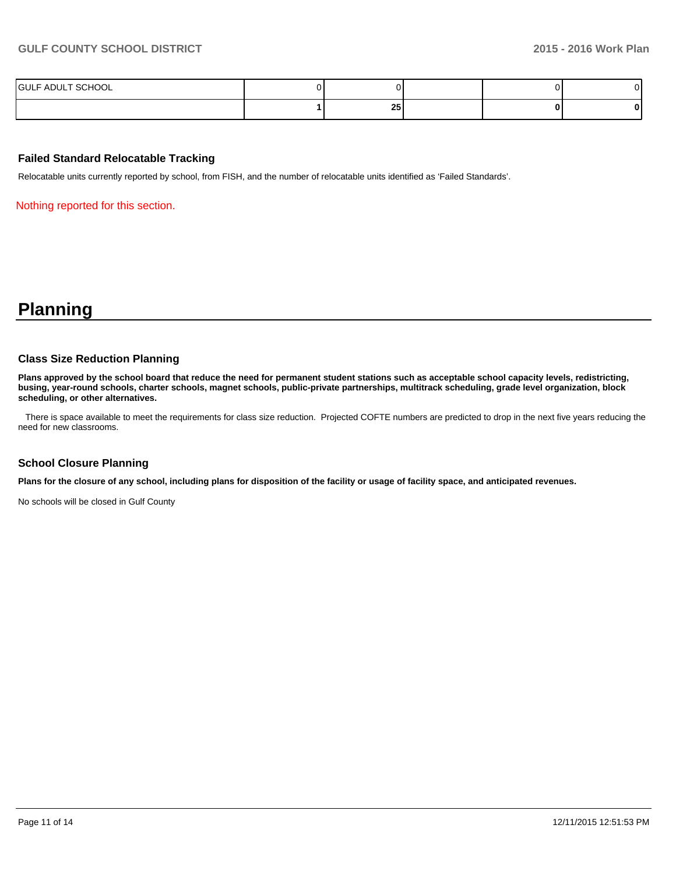| <b>IGULF ADULT SCHOOL</b> |            |  |  |
|---------------------------|------------|--|--|
|                           | OE.<br>ں ک |  |  |

#### **Failed Standard Relocatable Tracking**

Relocatable units currently reported by school, from FISH, and the number of relocatable units identified as 'Failed Standards'.

Nothing reported for this section.

# **Planning**

#### **Class Size Reduction Planning**

**Plans approved by the school board that reduce the need for permanent student stations such as acceptable school capacity levels, redistricting, busing, year-round schools, charter schools, magnet schools, public-private partnerships, multitrack scheduling, grade level organization, block scheduling, or other alternatives.**

There is space available to meet the requirements for class size reduction. Projected COFTE numbers are predicted to drop in the next five years reducing the need for new classrooms.

#### **School Closure Planning**

**Plans for the closure of any school, including plans for disposition of the facility or usage of facility space, and anticipated revenues.**

No schools will be closed in Gulf County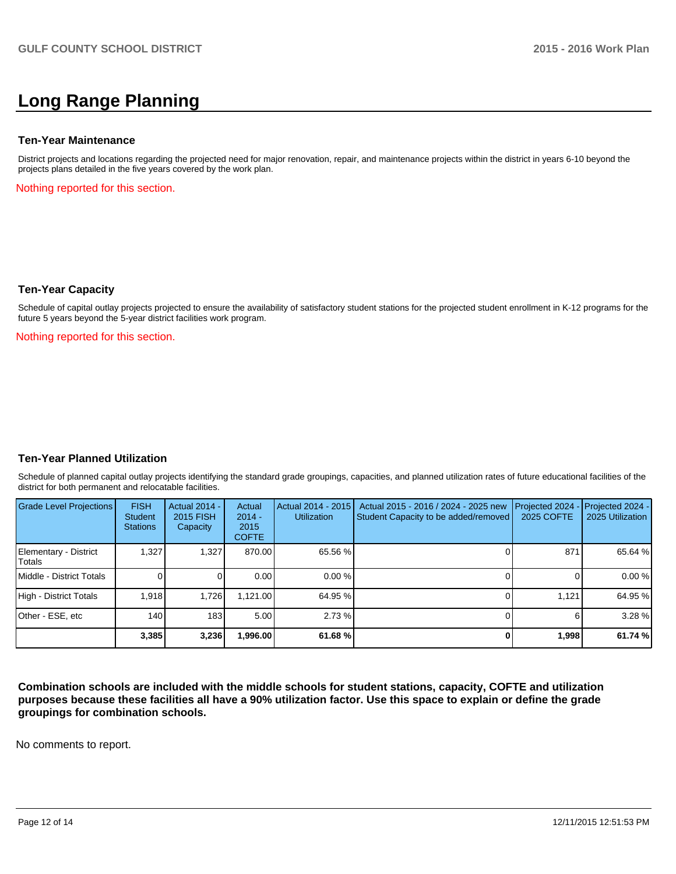# **Long Range Planning**

#### **Ten-Year Maintenance**

District projects and locations regarding the projected need for major renovation, repair, and maintenance projects within the district in years 6-10 beyond the projects plans detailed in the five years covered by the work plan.

Nothing reported for this section.

#### **Ten-Year Capacity**

Schedule of capital outlay projects projected to ensure the availability of satisfactory student stations for the projected student enrollment in K-12 programs for the future 5 years beyond the 5-year district facilities work program.

Nothing reported for this section.

#### **Ten-Year Planned Utilization**

Schedule of planned capital outlay projects identifying the standard grade groupings, capacities, and planned utilization rates of future educational facilities of the district for both permanent and relocatable facilities.

| Grade Level Projections         | <b>FISH</b><br>Student<br><b>Stations</b> | <b>Actual 2014 -</b><br>2015 FISH<br>Capacity | Actual<br>$2014 -$<br>2015<br><b>COFTE</b> | Actual 2014 - 2015<br><b>Utilization</b> | Actual 2015 - 2016 / 2024 - 2025 new<br>Student Capacity to be added/removed | Projected 2024<br><b>2025 COFTE</b> | $-$ Projected 2024 -<br>2025 Utilization |
|---------------------------------|-------------------------------------------|-----------------------------------------------|--------------------------------------------|------------------------------------------|------------------------------------------------------------------------------|-------------------------------------|------------------------------------------|
| Elementary - District<br>Totals | 1.327                                     | 1,327                                         | 870.00                                     | 65.56 %                                  |                                                                              | 871                                 | 65.64 %                                  |
| Middle - District Totals        |                                           |                                               | 0.00                                       | $0.00\%$                                 |                                                                              |                                     | 0.00%                                    |
| High - District Totals          | 1.918                                     | 1.726                                         | 1.121.00                                   | 64.95 %                                  |                                                                              | 1.121                               | 64.95 %                                  |
| Other - ESE, etc                | 140 <sub>l</sub>                          | 183                                           | 5.00                                       | 2.73%                                    |                                                                              |                                     | 3.28 %                                   |
|                                 | 3,385                                     | 3,236                                         | 996.00                                     | 61.68%                                   |                                                                              | 1,998                               | 61.74 %                                  |

**Combination schools are included with the middle schools for student stations, capacity, COFTE and utilization purposes because these facilities all have a 90% utilization factor. Use this space to explain or define the grade groupings for combination schools.**

No comments to report.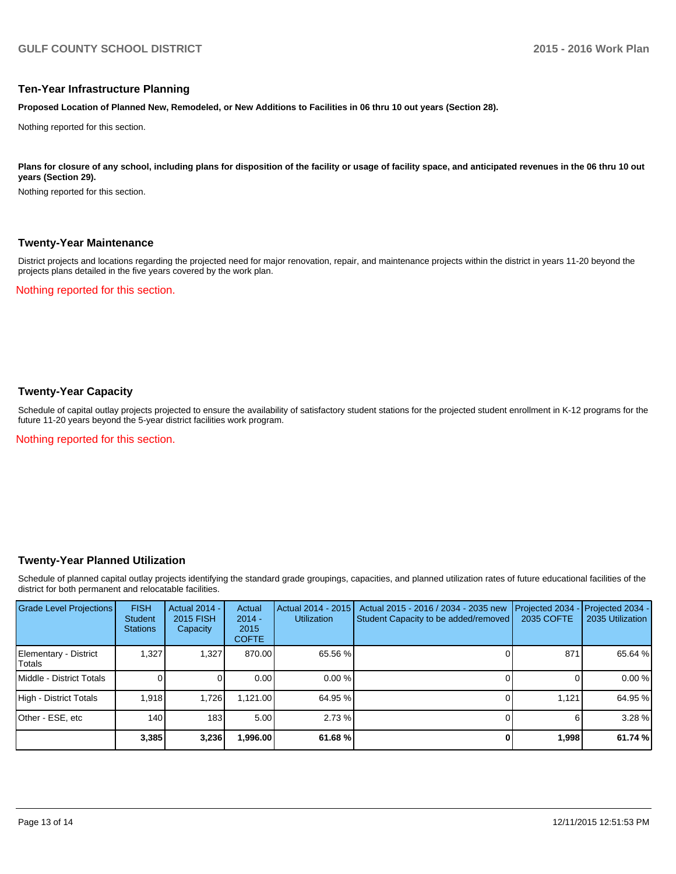#### **Ten-Year Infrastructure Planning**

**Proposed Location of Planned New, Remodeled, or New Additions to Facilities in 06 thru 10 out years (Section 28).**

Nothing reported for this section.

Plans for closure of any school, including plans for disposition of the facility or usage of facility space, and anticipated revenues in the 06 thru 10 out **years (Section 29).**

Nothing reported for this section.

#### **Twenty-Year Maintenance**

District projects and locations regarding the projected need for major renovation, repair, and maintenance projects within the district in years 11-20 beyond the projects plans detailed in the five years covered by the work plan.

Nothing reported for this section.

### **Twenty-Year Capacity**

Schedule of capital outlay projects projected to ensure the availability of satisfactory student stations for the projected student enrollment in K-12 programs for the future 11-20 years beyond the 5-year district facilities work program.

Nothing reported for this section.

#### **Twenty-Year Planned Utilization**

Schedule of planned capital outlay projects identifying the standard grade groupings, capacities, and planned utilization rates of future educational facilities of the district for both permanent and relocatable facilities.

| <b>Grade Level Projections</b>   | <b>FISH</b><br><b>Student</b><br><b>Stations</b> | <b>Actual 2014 -</b><br>2015 FISH<br>Capacity | Actual<br>$2014 -$<br>2015<br><b>COFTE</b> | Actual 2014 - 2015<br><b>Utilization</b> | Actual 2015 - 2016 / 2034 - 2035 new<br>Student Capacity to be added/removed | Projected 2034<br>2035 COFTE | Projected 2034 -<br>2035 Utilization |
|----------------------------------|--------------------------------------------------|-----------------------------------------------|--------------------------------------------|------------------------------------------|------------------------------------------------------------------------------|------------------------------|--------------------------------------|
| Elementary - District<br> Totals | 1,327                                            | 1,327                                         | 870.00                                     | 65.56 %                                  |                                                                              | 871                          | 65.64 %                              |
| Middle - District Totals         |                                                  |                                               | 0.00                                       | 0.00%                                    |                                                                              |                              | 0.00%                                |
| High - District Totals           | 1,918                                            | 1.726                                         | 1.121.00                                   | 64.95 %                                  |                                                                              | 1.121                        | 64.95 %                              |
| Other - ESE, etc                 | 140                                              | 183                                           | 5.00                                       | 2.73%                                    |                                                                              |                              | 3.28%                                |
|                                  | 3,385                                            | 3,236                                         | 1,996.00                                   | 61.68%                                   |                                                                              | 1,998                        | 61.74 %                              |